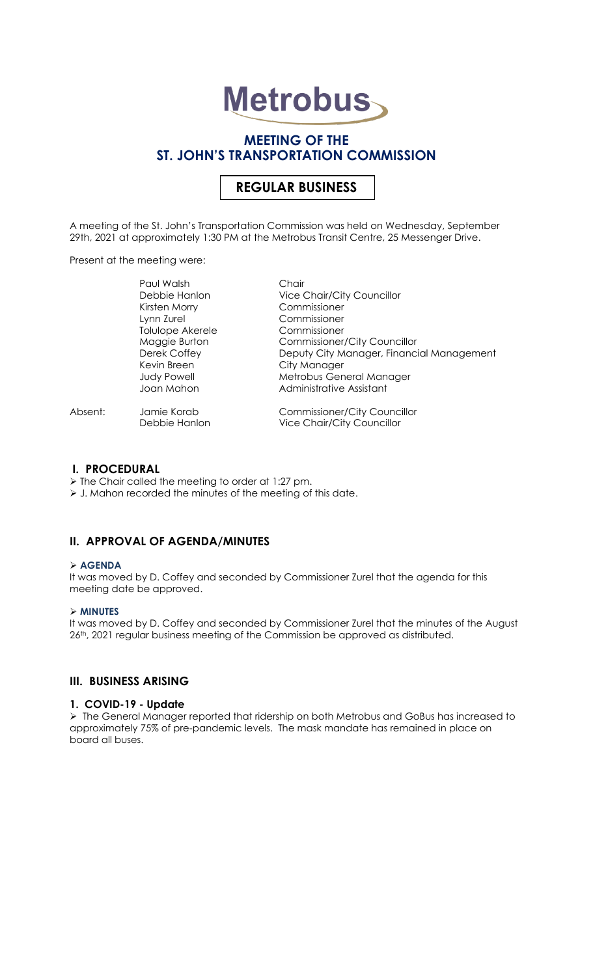# **Metrobus**

# **MEETING OF THE ST. JOHN'S TRANSPORTATION COMMISSION**

# **REGULAR BUSINESS**

A meeting of the St. John's Transportation Commission was held on Wednesday, September 29th, 2021 at approximately 1:30 PM at the Metrobus Transit Centre, 25 Messenger Drive.

Present at the meeting were:

| <b>Commissioner/City Councillor</b>                                    |
|------------------------------------------------------------------------|
| Deputy City Manager, Financial Management                              |
|                                                                        |
| Metrobus General Manager                                               |
|                                                                        |
| <b>Commissioner/City Councillor</b>                                    |
| <b>Vice Chair/City Councillor</b><br><b>Vice Chair/City Councillor</b> |

#### **I. PROCEDURAL**

➢ The Chair called the meeting to order at 1:27 pm. ➢ J. Mahon recorded the minutes of the meeting of this date.

# **II. APPROVAL OF AGENDA/MINUTES**

#### ➢ **AGENDA**

It was moved by D. Coffey and seconded by Commissioner Zurel that the agenda for this meeting date be approved.

#### ➢ **MINUTES**

It was moved by D. Coffey and seconded by Commissioner Zurel that the minutes of the August 26<sup>th</sup>, 2021 regular business meeting of the Commission be approved as distributed.

### **III. BUSINESS ARISING**

#### **1. COVID-19 - Update**

➢ The General Manager reported that ridership on both Metrobus and GoBus has increased to approximately 75% of pre-pandemic levels. The mask mandate has remained in place on board all buses.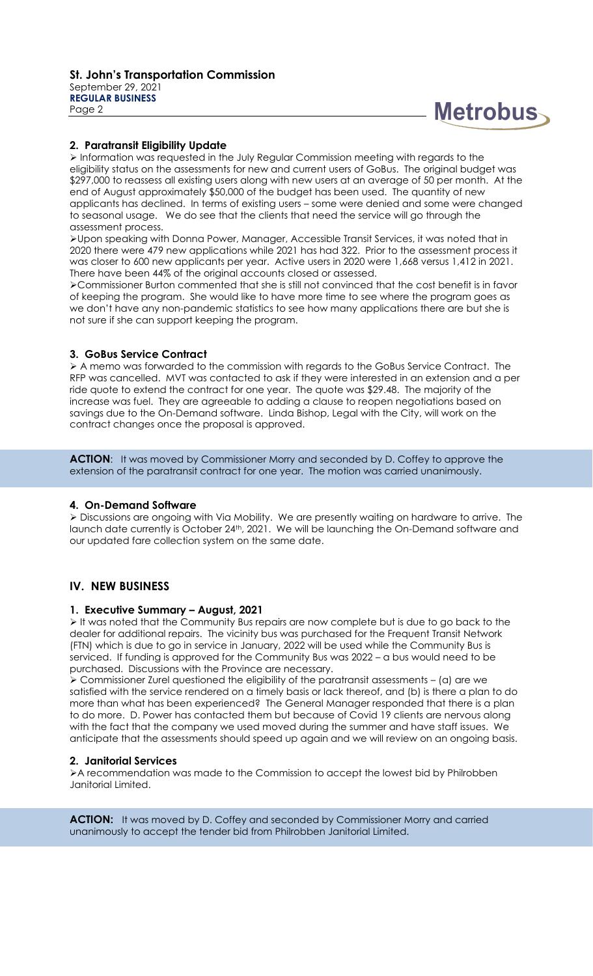

#### **2. Paratransit Eligibility Update**

➢ Information was requested in the July Regular Commission meeting with regards to the eligibility status on the assessments for new and current users of GoBus. The original budget was \$297,000 to reassess all existing users along with new users at an average of 50 per month. At the end of August approximately \$50,000 of the budget has been used. The quantity of new applicants has declined. In terms of existing users – some were denied and some were changed to seasonal usage. We do see that the clients that need the service will go through the assessment process.

➢Upon speaking with Donna Power, Manager, Accessible Transit Services, it was noted that in 2020 there were 479 new applications while 2021 has had 322. Prior to the assessment process it was closer to 600 new applicants per year. Active users in 2020 were 1,668 versus 1,412 in 2021. There have been 44% of the original accounts closed or assessed.

➢Commissioner Burton commented that she is still not convinced that the cost benefit is in favor of keeping the program. She would like to have more time to see where the program goes as we don't have any non-pandemic statistics to see how many applications there are but she is not sure if she can support keeping the program.

#### **3. GoBus Service Contract**

➢ A memo was forwarded to the commission with regards to the GoBus Service Contract. The RFP was cancelled. MVT was contacted to ask if they were interested in an extension and a per ride quote to extend the contract for one year. The quote was \$29.48. The majority of the increase was fuel. They are agreeable to adding a clause to reopen negotiations based on savings due to the On-Demand software. Linda Bishop, Legal with the City, will work on the contract changes once the proposal is approved.

**ACTION:** It was moved by Commissioner Morry and seconded by D. Coffey to approve the extension of the paratransit contract for one year. The motion was carried unanimously.

#### **4. On-Demand Software**

➢ Discussions are ongoing with Via Mobility. We are presently waiting on hardware to arrive. The launch date currently is October 24<sup>th</sup>, 2021. We will be launching the On-Demand software and our updated fare collection system on the same date.

# **IV. NEW BUSINESS**

#### **1. Executive Summary – August, 2021**

➢ It was noted that the Community Bus repairs are now complete but is due to go back to the dealer for additional repairs. The vicinity bus was purchased for the Frequent Transit Network (FTN) which is due to go in service in January, 2022 will be used while the Community Bus is serviced. If funding is approved for the Community Bus was 2022 – a bus would need to be purchased. Discussions with the Province are necessary.

➢ Commissioner Zurel questioned the eligibility of the paratransit assessments – (a) are we satisfied with the service rendered on a timely basis or lack thereof, and (b) is there a plan to do more than what has been experienced? The General Manager responded that there is a plan to do more. D. Power has contacted them but because of Covid 19 clients are nervous along with the fact that the company we used moved during the summer and have staff issues. We anticipate that the assessments should speed up again and we will review on an ongoing basis.

#### **2. Janitorial Services**

➢A recommendation was made to the Commission to accept the lowest bid by Philrobben Janitorial Limited.

**ACTION:** It was moved by D. Coffey and seconded by Commissioner Morry and carried unanimously to accept the tender bid from Philrobben Janitorial Limited.